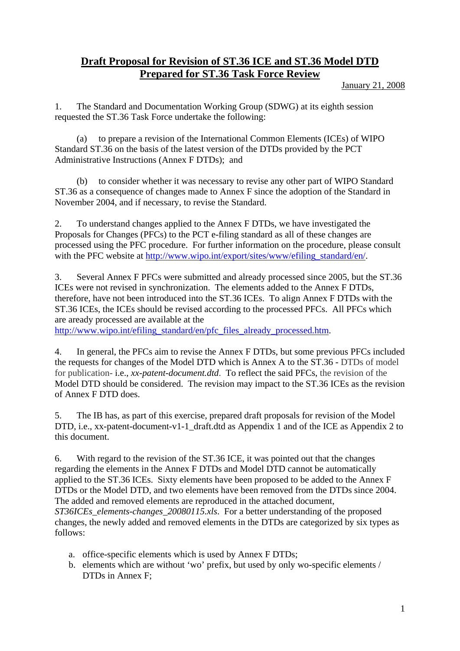## **Draft Proposal for Revision of ST.36 ICE and ST.36 Model DTD Prepared for ST.36 Task Force Review**

## January 21, 2008

1. The Standard and Documentation Working Group (SDWG) at its eighth session requested the ST.36 Task Force undertake the following:

to prepare a revision of the International Common Elements (ICEs) of WIPO Standard ST.36 on the basis of the latest version of the DTDs provided by the PCT Administrative Instructions (Annex F DTDs); and

 (b) to consider whether it was necessary to revise any other part of WIPO Standard ST.36 as a consequence of changes made to Annex F since the adoption of the Standard in November 2004, and if necessary, to revise the Standard.

2. To understand changes applied to the Annex F DTDs, we have investigated the Proposals for Changes (PFCs) to the PCT e-filing standard as all of these changes are processed using the PFC procedure. For further information on the procedure, please consult with the PFC website at [http://www.wipo.int/export/sites/www/efiling\\_standard/en/](http://www.wipo.int/export/sites/www/efiling_standard/en/).

3. Several Annex F PFCs were submitted and already processed since 2005, but the ST.36 ICEs were not revised in synchronization. The elements added to the Annex F DTDs, therefore, have not been introduced into the ST.36 ICEs. To align Annex F DTDs with the ST.36 ICEs, the ICEs should be revised according to the processed PFCs. All PFCs which are aready processed are available at the

[http://www.wipo.int/efiling\\_standard/en/pfc\\_files\\_already\\_processed.htm.](http://www.wipo.int/efiling_standard/en/pfc_files_already_processed.htm)

4. In general, the PFCs aim to revise the Annex F DTDs, but some previous PFCs included the requests for changes of the Model DTD which is Annex A to the ST.36 - DTDs of model for publication- i.e., *xx-patent-document.dtd*. To reflect the said PFCs, the revision of the Model DTD should be considered. The revision may impact to the ST.36 ICEs as the revision of Annex F DTD does.

5. The IB has, as part of this exercise, prepared draft proposals for revision of the Model DTD, i.e., xx-patent-document-v1-1\_draft.dtd as Appendix 1 and of the ICE as Appendix 2 to this document.

6. With regard to the revision of the ST.36 ICE, it was pointed out that the changes regarding the elements in the Annex F DTDs and Model DTD cannot be automatically applied to the ST.36 ICEs. Sixty elements have been proposed to be added to the Annex F DTDs or the Model DTD, and two elements have been removed from the DTDs since 2004. The added and removed elements are reproduced in the attached document, *ST36ICEs\_elements-changes\_20080115.xls*. For a better understanding of the proposed changes, the newly added and removed elements in the DTDs are categorized by six types as follows:

- a. office-specific elements which is used by Annex F DTDs;
- b. elements which are without 'wo' prefix, but used by only wo-specific elements / DTDs in Annex F;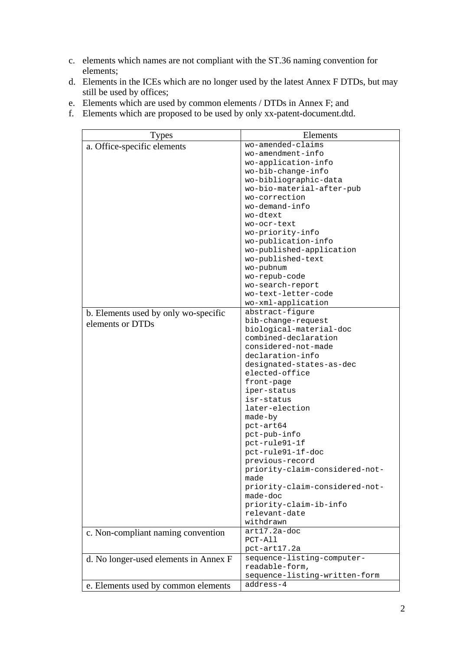- c. elements which names are not compliant with the ST.36 naming convention for elements;
- d. Elements in the ICEs which are no longer used by the latest Annex F DTDs, but may still be used by offices;
- e. Elements which are used by common elements / DTDs in Annex F; and
- f. Elements which are proposed to be used by only xx-patent-document.dtd.

| <b>Types</b>                          | Elements                                   |
|---------------------------------------|--------------------------------------------|
| a. Office-specific elements           | wo-amended-claims                          |
|                                       | wo-amendment-info                          |
|                                       | wo-application-info                        |
|                                       | wo-bib-change-info                         |
|                                       | wo-bibliographic-data                      |
|                                       | wo-bio-material-after-pub                  |
|                                       | wo-correction                              |
|                                       | wo-demand-info                             |
|                                       | wo-dtext                                   |
|                                       | wo-ocr-text                                |
|                                       | wo-priority-info                           |
|                                       | wo-publication-info                        |
|                                       | wo-published-application                   |
|                                       | wo-published-text                          |
|                                       | wo-pubnum                                  |
|                                       | wo-repub-code                              |
|                                       | wo-search-report                           |
|                                       | wo-text-letter-code                        |
|                                       | wo-xml-application                         |
| b. Elements used by only wo-specific  | abstract-figure                            |
| elements or DTDs                      | bib-change-request                         |
|                                       | biological-material-doc                    |
|                                       | combined-declaration                       |
|                                       | considered-not-made                        |
|                                       | declaration-info                           |
|                                       | designated-states-as-dec                   |
|                                       | elected-office                             |
|                                       | front-page                                 |
|                                       | iper-status                                |
|                                       | isr-status                                 |
|                                       | later-election                             |
|                                       | made-by                                    |
|                                       | pct-art64                                  |
|                                       | pct-pub-info                               |
|                                       | pct-rule91-1f                              |
|                                       | pct-rule91-1f-doc                          |
|                                       | previous-record                            |
|                                       | priority-claim-considered-not-             |
|                                       | made                                       |
|                                       | priority-claim-considered-not-<br>made-doc |
|                                       | priority-claim-ib-info                     |
|                                       |                                            |
|                                       | relevant-date<br>withdrawn                 |
|                                       | $art17.2a-doc$                             |
| c. Non-compliant naming convention    | PCT-All                                    |
|                                       |                                            |
|                                       | pct-art17.2a<br>sequence-listing-computer- |
| d. No longer-used elements in Annex F | readable-form,                             |
|                                       | sequence-listing-written-form              |
|                                       | address-4                                  |
| e. Elements used by common elements   |                                            |